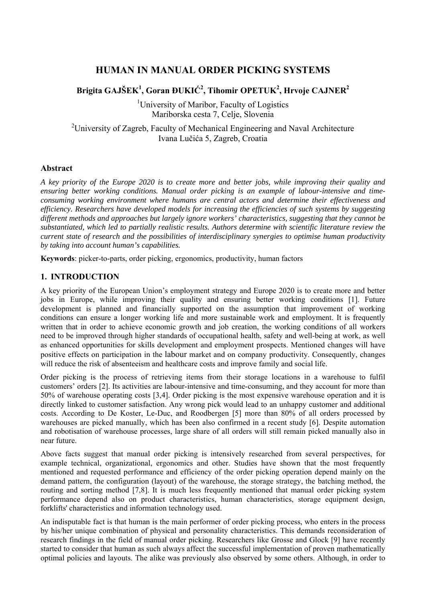# **HUMAN IN MANUAL ORDER PICKING SYSTEMS**

# **Brigita GAJŠEK<sup>1</sup> , Goran ĐUKIĆ2 , Tihomir OPETUK<sup>2</sup> , Hrvoje CAJNER2**

<sup>1</sup>University of Maribor, Faculty of Logistics Mariborska cesta 7, Celje, Slovenia

<sup>2</sup>University of Zagreb, Faculty of Mechanical Engineering and Naval Architecture Ivana Lučića 5, Zagreb, Croatia

## **Abstract**

*A key priority of the Europe 2020 is to create more and better jobs, while improving their quality and ensuring better working conditions. Manual order picking is an example of labour-intensive and timeconsuming working environment where humans are central actors and determine their effectiveness and efficiency. Researchers have developed models for increasing the efficiencies of such systems by suggesting different methods and approaches but largely ignore workers' characteristics, suggesting that they cannot be substantiated, which led to partially realistic results. Authors determine with scientific literature review the current state of research and the possibilities of interdisciplinary synergies to optimise human productivity by taking into account human's capabilities.* 

**Keywords**: picker-to-parts, order picking, ergonomics, productivity, human factors

## **1. INTRODUCTION**

A key priority of the European Union's employment strategy and Europe 2020 is to create more and better jobs in Europe, while improving their quality and ensuring better working conditions [1]. Future development is planned and financially supported on the assumption that improvement of working conditions can ensure a longer working life and more sustainable work and employment. It is frequently written that in order to achieve economic growth and job creation, the working conditions of all workers need to be improved through higher standards of occupational health, safety and well-being at work, as well as enhanced opportunities for skills development and employment prospects. Mentioned changes will have positive effects on participation in the labour market and on company productivity. Consequently, changes will reduce the risk of absenteeism and healthcare costs and improve family and social life.

Order picking is the process of retrieving items from their storage locations in a warehouse to fulfil customers' orders [2]. Its activities are labour-intensive and time-consuming, and they account for more than 50% of warehouse operating costs [3,4]. Order picking is the most expensive warehouse operation and it is directly linked to customer satisfaction. Any wrong pick would lead to an unhappy customer and additional costs. According to De Koster, Le-Duc, and Roodbergen [5] more than 80% of all orders processed by warehouses are picked manually, which has been also confirmed in a recent study [6]. Despite automation and robotisation of warehouse processes, large share of all orders will still remain picked manually also in near future.

Above facts suggest that manual order picking is intensively researched from several perspectives, for example technical, organizational, ergonomics and other. Studies have shown that the most frequently mentioned and requested performance and efficiency of the order picking operation depend mainly on the demand pattern, the configuration (layout) of the warehouse, the storage strategy, the batching method, the routing and sorting method [7,8]. It is much less frequently mentioned that manual order picking system performance depend also on product characteristics, human characteristics, storage equipment design, forklifts' characteristics and information technology used.

An indisputable fact is that human is the main performer of order picking process, who enters in the process by his/her unique combination of physical and personality characteristics. This demands reconsideration of research findings in the field of manual order picking. Researchers like Grosse and Glock [9] have recently started to consider that human as such always affect the successful implementation of proven mathematically optimal policies and layouts. The alike was previously also observed by some others. Although, in order to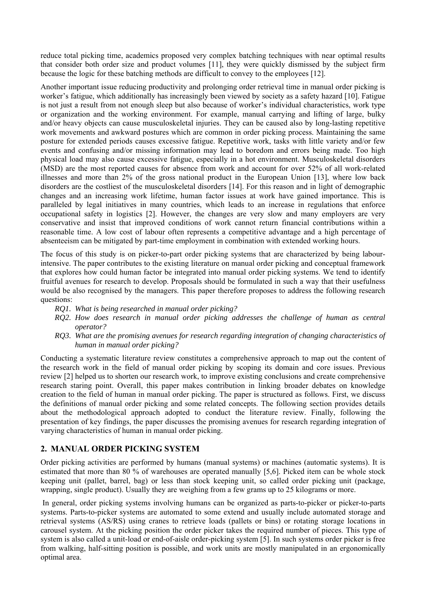reduce total picking time, academics proposed very complex batching techniques with near optimal results that consider both order size and product volumes [11], they were quickly dismissed by the subject firm because the logic for these batching methods are difficult to convey to the employees [12].

Another important issue reducing productivity and prolonging order retrieval time in manual order picking is worker's fatigue, which additionally has increasingly been viewed by society as a safety hazard [10]. Fatigue is not just a result from not enough sleep but also because of worker's individual characteristics, work type or organization and the working environment. For example, manual carrying and lifting of large, bulky and/or heavy objects can cause musculoskeletal injuries. They can be caused also by long-lasting repetitive work movements and awkward postures which are common in order picking process. Maintaining the same posture for extended periods causes excessive fatigue. Repetitive work, tasks with little variety and/or few events and confusing and/or missing information may lead to boredom and errors being made. Too high physical load may also cause excessive fatigue, especially in a hot environment. Musculoskeletal disorders (MSD) are the most reported causes for absence from work and account for over 52% of all work-related illnesses and more than 2% of the gross national product in the European Union [13], where low back disorders are the costliest of the musculoskeletal disorders [14]. For this reason and in light of demographic changes and an increasing work lifetime, human factor issues at work have gained importance. This is paralleled by legal initiatives in many countries, which leads to an increase in regulations that enforce occupational safety in logistics [2]. However, the changes are very slow and many employers are very conservative and insist that improved conditions of work cannot return financial contributions within a reasonable time. A low cost of labour often represents a competitive advantage and a high percentage of absenteeism can be mitigated by part-time employment in combination with extended working hours.

The focus of this study is on picker-to-part order picking systems that are characterized by being labourintensive. The paper contributes to the existing literature on manual order picking and conceptual framework that explores how could human factor be integrated into manual order picking systems. We tend to identify fruitful avenues for research to develop. Proposals should be formulated in such a way that their usefulness would be also recognised by the managers. This paper therefore proposes to address the following research questions:

- *RQ1. What is being researched in manual order picking?*
- *RQ2. How does research in manual order picking addresses the challenge of human as central operator?*
- *RQ3. What are the promising avenues for research regarding integration of changing characteristics of human in manual order picking?*

Conducting a systematic literature review constitutes a comprehensive approach to map out the content of the research work in the field of manual order picking by scoping its domain and core issues. Previous review [2] helped us to shorten our research work, to improve existing conclusions and create comprehensive research staring point. Overall, this paper makes contribution in linking broader debates on knowledge creation to the field of human in manual order picking. The paper is structured as follows. First, we discuss the definitions of manual order picking and some related concepts. The following section provides details about the methodological approach adopted to conduct the literature review. Finally, following the presentation of key findings, the paper discusses the promising avenues for research regarding integration of varying characteristics of human in manual order picking.

## **2. MANUAL ORDER PICKING SYSTEM**

Order picking activities are performed by humans (manual systems) or machines (automatic systems). It is estimated that more than 80 % of warehouses are operated manually [5,6]. Picked item can be whole stock keeping unit (pallet, barrel, bag) or less than stock keeping unit, so called order picking unit (package, wrapping, single product). Usually they are weighing from a few grams up to 25 kilograms or more.

 In general, order picking systems involving humans can be organized as parts-to-picker or picker-to-parts systems. Parts-to-picker systems are automated to some extend and usually include automated storage and retrieval systems (AS/RS) using cranes to retrieve loads (pallets or bins) or rotating storage locations in carousel system. At the picking position the order picker takes the required number of pieces. This type of system is also called a unit-load or end-of-aisle order-picking system [5]. In such systems order picker is free from walking, half-sitting position is possible, and work units are mostly manipulated in an ergonomically optimal area.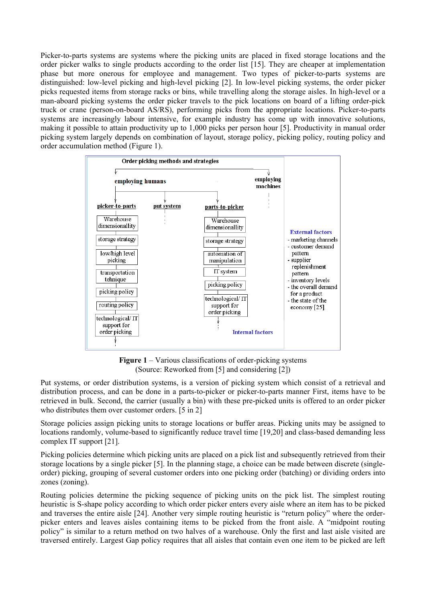Picker-to-parts systems are systems where the picking units are placed in fixed storage locations and the order picker walks to single products according to the order list [15]. They are cheaper at implementation phase but more onerous for employee and management. Two types of picker-to-parts systems are distinguished: low-level picking and high-level picking [2]. In low-level picking systems, the order picker picks requested items from storage racks or bins, while travelling along the storage aisles. In high-level or a man-aboard picking systems the order picker travels to the pick locations on board of a lifting order-pick truck or crane (person-on-board AS/RS), performing picks from the appropriate locations. Picker-to-parts systems are increasingly labour intensive, for example industry has come up with innovative solutions, making it possible to attain productivity up to 1,000 picks per person hour [5]. Productivity in manual order picking system largely depends on combination of layout, storage policy, picking policy, routing policy and order accumulation method (Figure 1).



**Figure 1** – Various classifications of order-picking systems (Source: Reworked from [5] and considering [2])

Put systems, or order distribution systems, is a version of picking system which consist of a retrieval and distribution process, and can be done in a parts-to-picker or picker-to-parts manner First, items have to be retrieved in bulk. Second, the carrier (usually a bin) with these pre-picked units is offered to an order picker who distributes them over customer orders. [5 in 2]

Storage policies assign picking units to storage locations or buffer areas. Picking units may be assigned to locations randomly, volume-based to significantly reduce travel time [19,20] and class-based demanding less complex IT support [21].

Picking policies determine which picking units are placed on a pick list and subsequently retrieved from their storage locations by a single picker [5]. In the planning stage, a choice can be made between discrete (singleorder) picking, grouping of several customer orders into one picking order (batching) or dividing orders into zones (zoning).

Routing policies determine the picking sequence of picking units on the pick list. The simplest routing heuristic is S-shape policy according to which order picker enters every aisle where an item has to be picked and traverses the entire aisle [24]. Another very simple routing heuristic is "return policy" where the orderpicker enters and leaves aisles containing items to be picked from the front aisle. A "midpoint routing policy" is similar to a return method on two halves of a warehouse. Only the first and last aisle visited are traversed entirely. Largest Gap policy requires that all aisles that contain even one item to be picked are left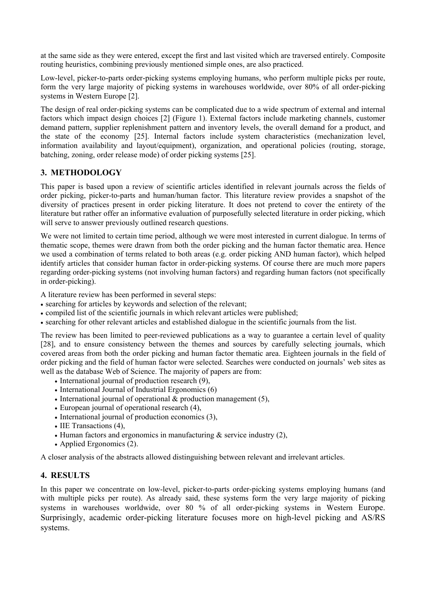at the same side as they were entered, except the first and last visited which are traversed entirely. Composite routing heuristics, combining previously mentioned simple ones, are also practiced.

Low-level, picker-to-parts order-picking systems employing humans, who perform multiple picks per route, form the very large majority of picking systems in warehouses worldwide, over 80% of all order-picking systems in Western Europe [2].

The design of real order-picking systems can be complicated due to a wide spectrum of external and internal factors which impact design choices [2] (Figure 1). External factors include marketing channels, customer demand pattern, supplier replenishment pattern and inventory levels, the overall demand for a product, and the state of the economy [25]. Internal factors include system characteristics (mechanization level, information availability and layout/equipment), organization, and operational policies (routing, storage, batching, zoning, order release mode) of order picking systems [25].

# **3. METHODOLOGY**

This paper is based upon a review of scientific articles identified in relevant journals across the fields of order picking, picker-to-parts and human/human factor. This literature review provides a snapshot of the diversity of practices present in order picking literature. It does not pretend to cover the entirety of the literature but rather offer an informative evaluation of purposefully selected literature in order picking, which will serve to answer previously outlined research questions.

We were not limited to certain time period, although we were most interested in current dialogue. In terms of thematic scope, themes were drawn from both the order picking and the human factor thematic area. Hence we used a combination of terms related to both areas (e.g. order picking AND human factor), which helped identify articles that consider human factor in order-picking systems. Of course there are much more papers regarding order-picking systems (not involving human factors) and regarding human factors (not specifically in order-picking).

A literature review has been performed in several steps:

- searching for articles by keywords and selection of the relevant;
- compiled list of the scientific journals in which relevant articles were published;
- searching for other relevant articles and established dialogue in the scientific journals from the list.

The review has been limited to peer-reviewed publications as a way to guarantee a certain level of quality [28], and to ensure consistency between the themes and sources by carefully selecting journals, which covered areas from both the order picking and human factor thematic area. Eighteen journals in the field of order picking and the field of human factor were selected. Searches were conducted on journals' web sites as well as the database Web of Science. The majority of papers are from:

- $\bullet$  International journal of production research  $(9)$ ,
- International Journal of Industrial Ergonomics (6)
- International journal of operational  $&$  production management (5),
- European journal of operational research  $(4)$ ,
- $\bullet$  International journal of production economics (3),
- IIE Transactions (4),
- $\bullet$  Human factors and ergonomics in manufacturing & service industry (2),
- Applied Ergonomics (2).

A closer analysis of the abstracts allowed distinguishing between relevant and irrelevant articles.

## **4. RESULTS**

In this paper we concentrate on low-level, picker-to-parts order-picking systems employing humans (and with multiple picks per route). As already said, these systems form the very large majority of picking systems in warehouses worldwide, over 80 % of all order-picking systems in Western Europe. Surprisingly, academic order-picking literature focuses more on high-level picking and AS/RS systems.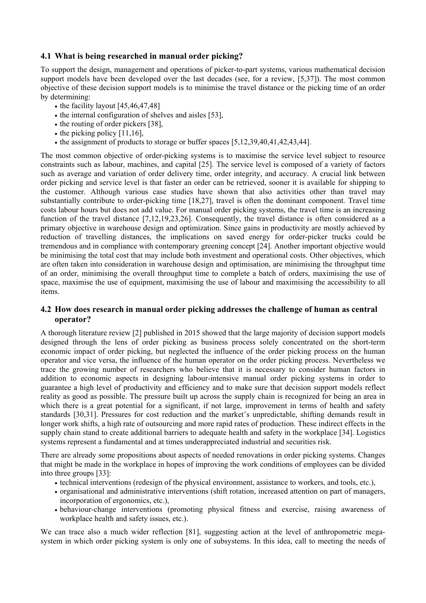#### **4.1 What is being researched in manual order picking?**

To support the design, management and operations of picker-to-part systems, various mathematical decision support models have been developed over the last decades (see, for a review, [5,37]). The most common objective of these decision support models is to minimise the travel distance or the picking time of an order by determining:

- $\cdot$  the facility layout [45,46,47,48]
- $\bullet$  the internal configuration of shelves and aisles [53],
- $\bullet$  the routing of order pickers [38],
- $\bullet$  the picking policy [11,16],
- $\bullet$  the assignment of products to storage or buffer spaces [5,12,39,40,41,42,43,44].

The most common objective of order-picking systems is to maximise the service level subject to resource constraints such as labour, machines, and capital [25]. The service level is composed of a variety of factors such as average and variation of order delivery time, order integrity, and accuracy. A crucial link between order picking and service level is that faster an order can be retrieved, sooner it is available for shipping to the customer. Although various case studies have shown that also activities other than travel may substantially contribute to order-picking time [18,27], travel is often the dominant component. Travel time costs labour hours but does not add value. For manual order picking systems, the travel time is an increasing function of the travel distance [7,12,19,23,26]. Consequently, the travel distance is often considered as a primary objective in warehouse design and optimization. Since gains in productivity are mostly achieved by reduction of travelling distances, the implications on saved energy for order-picker trucks could be tremendous and in compliance with contemporary greening concept [24]. Another important objective would be minimising the total cost that may include both investment and operational costs. Other objectives, which are often taken into consideration in warehouse design and optimisation, are minimising the throughput time of an order, minimising the overall throughput time to complete a batch of orders, maximising the use of space, maximise the use of equipment, maximising the use of labour and maximising the accessibility to all items.

#### **4.2 How does research in manual order picking addresses the challenge of human as central operator?**

A thorough literature review [2] published in 2015 showed that the large majority of decision support models designed through the lens of order picking as business process solely concentrated on the short-term economic impact of order picking, but neglected the influence of the order picking process on the human operator and vice versa, the influence of the human operator on the order picking process. Nevertheless we trace the growing number of researchers who believe that it is necessary to consider human factors in addition to economic aspects in designing labour-intensive manual order picking systems in order to guarantee a high level of productivity and efficiency and to make sure that decision support models reflect reality as good as possible. The pressure built up across the supply chain is recognized for being an area in which there is a great potential for a significant, if not large, improvement in terms of health and safety standards [30,31]. Pressures for cost reduction and the market's unpredictable, shifting demands result in longer work shifts, a high rate of outsourcing and more rapid rates of production. These indirect effects in the supply chain stand to create additional barriers to adequate health and safety in the workplace [34]. Logistics systems represent a fundamental and at times underappreciated industrial and securities risk.

There are already some propositions about aspects of needed renovations in order picking systems. Changes that might be made in the workplace in hopes of improving the work conditions of employees can be divided into three groups [33]:

- technical interventions (redesign of the physical environment, assistance to workers, and tools, etc.),
- organisational and administrative interventions (shift rotation, increased attention on part of managers, incorporation of ergonomics, etc.),
- behaviour-change interventions (promoting physical fitness and exercise, raising awareness of workplace health and safety issues, etc.).

We can trace also a much wider reflection [81], suggesting action at the level of anthropometric megasystem in which order picking system is only one of subsystems. In this idea, call to meeting the needs of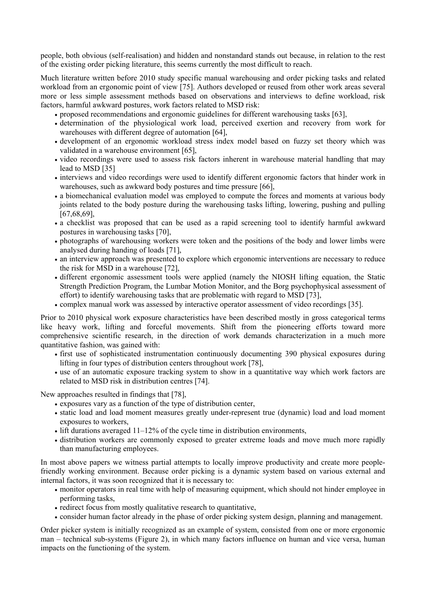people, both obvious (self-realisation) and hidden and nonstandard stands out because, in relation to the rest of the existing order picking literature, this seems currently the most difficult to reach.

Much literature written before 2010 study specific manual warehousing and order picking tasks and related workload from an ergonomic point of view [75]. Authors developed or reused from other work areas several more or less simple assessment methods based on observations and interviews to define workload, risk factors, harmful awkward postures, work factors related to MSD risk:

- proposed recommendations and ergonomic guidelines for different warehousing tasks [63],
- determination of the physiological work load, perceived exertion and recovery from work for warehouses with different degree of automation [64],
- development of an ergonomic workload stress index model based on fuzzy set theory which was validated in a warehouse environment [65],
- video recordings were used to assess risk factors inherent in warehouse material handling that may lead to MSD [35]
- interviews and video recordings were used to identify different ergonomic factors that hinder work in warehouses, such as awkward body postures and time pressure [66],
- a biomechanical evaluation model was employed to compute the forces and moments at various body joints related to the body posture during the warehousing tasks lifting, lowering, pushing and pulling [67,68,69],
- a checklist was proposed that can be used as a rapid screening tool to identify harmful awkward postures in warehousing tasks [70],
- photographs of warehousing workers were token and the positions of the body and lower limbs were analysed during handing of loads [71],
- an interview approach was presented to explore which ergonomic interventions are necessary to reduce the risk for MSD in a warehouse [72],
- different ergonomic assessment tools were applied (namely the NIOSH lifting equation, the Static Strength Prediction Program, the Lumbar Motion Monitor, and the Borg psychophysical assessment of effort) to identify warehousing tasks that are problematic with regard to MSD [73],
- complex manual work was assessed by interactive operator assessment of video recordings [35].

Prior to 2010 physical work exposure characteristics have been described mostly in gross categorical terms like heavy work, lifting and forceful movements. Shift from the pioneering efforts toward more comprehensive scientific research, in the direction of work demands characterization in a much more quantitative fashion, was gained with:

- first use of sophisticated instrumentation continuously documenting 390 physical exposures during lifting in four types of distribution centers throughout work [78],
- use of an automatic exposure tracking system to show in a quantitative way which work factors are related to MSD risk in distribution centres [74].

New approaches resulted in findings that [78],

- exposures vary as a function of the type of distribution center,
- static load and load moment measures greatly under-represent true (dynamic) load and load moment exposures to workers,
- $\bullet$  lift durations averaged 11–12% of the cycle time in distribution environments,
- distribution workers are commonly exposed to greater extreme loads and move much more rapidly than manufacturing employees.

In most above papers we witness partial attempts to locally improve productivity and create more peoplefriendly working environment. Because order picking is a dynamic system based on various external and internal factors, it was soon recognized that it is necessary to:

- monitor operators in real time with help of measuring equipment, which should not hinder employee in performing tasks,
- redirect focus from mostly qualitative research to quantitative,
- consider human factor already in the phase of order picking system design, planning and management.

Order picker system is initially recognized as an example of system, consisted from one or more ergonomic man – technical sub-systems (Figure 2), in which many factors influence on human and vice versa, human impacts on the functioning of the system.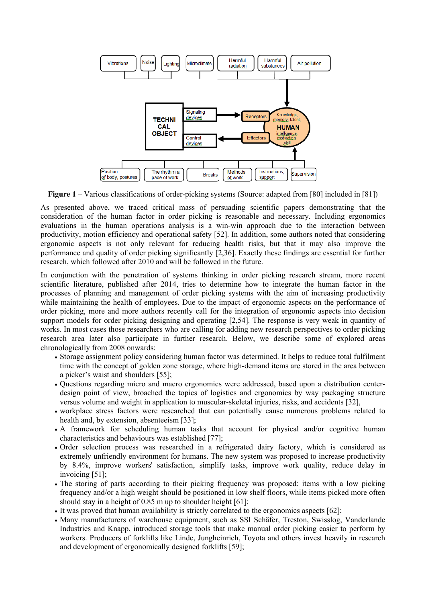

**Figure 1** – Various classifications of order-picking systems (Source: adapted from [80] included in [81])

As presented above, we traced critical mass of persuading scientific papers demonstrating that the consideration of the human factor in order picking is reasonable and necessary. Including ergonomics evaluations in the human operations analysis is a win-win approach due to the interaction between productivity, motion efficiency and operational safety [52]. In addition, some authors noted that considering ergonomic aspects is not only relevant for reducing health risks, but that it may also improve the performance and quality of order picking significantly [2,36]. Exactly these findings are essential for further research, which followed after 2010 and will be followed in the future.

In conjunction with the penetration of systems thinking in order picking research stream, more recent scientific literature, published after 2014, tries to determine how to integrate the human factor in the processes of planning and management of order picking systems with the aim of increasing productivity while maintaining the health of employees. Due to the impact of ergonomic aspects on the performance of order picking, more and more authors recently call for the integration of ergonomic aspects into decision support models for order picking designing and operating [2,54]. The response is very weak in quantity of works. In most cases those researchers who are calling for adding new research perspectives to order picking research area later also participate in further research. Below, we describe some of explored areas chronologically from 2008 onwards:

- Storage assignment policy considering human factor was determined. It helps to reduce total fulfilment time with the concept of golden zone storage, where high-demand items are stored in the area between a picker's waist and shoulders [55];
- Questions regarding micro and macro ergonomics were addressed, based upon a distribution centerdesign point of view, broached the topics of logistics and ergonomics by way packaging structure versus volume and weight in application to muscular-skeletal injuries, risks, and accidents [32],
- workplace stress factors were researched that can potentially cause numerous problems related to health and, by extension, absenteeism [33];
- A framework for scheduling human tasks that account for physical and/or cognitive human characteristics and behaviours was established [77];
- Order selection process was researched in a refrigerated dairy factory, which is considered as extremely unfriendly environment for humans. The new system was proposed to increase productivity by 8.4%, improve workers' satisfaction, simplify tasks, improve work quality, reduce delay in invoicing [51];
- The storing of parts according to their picking frequency was proposed: items with a low picking frequency and/or a high weight should be positioned in low shelf floors, while items picked more often should stay in a height of 0.85 m up to shoulder height [61];
- It was proved that human availability is strictly correlated to the ergonomics aspects [62];
- Many manufacturers of warehouse equipment, such as SSI Schäfer, Treston, Swisslog, Vanderlande Industries and Knapp, introduced storage tools that make manual order picking easier to perform by workers. Producers of forklifts like Linde, Jungheinrich, Toyota and others invest heavily in research and development of ergonomically designed forklifts [59];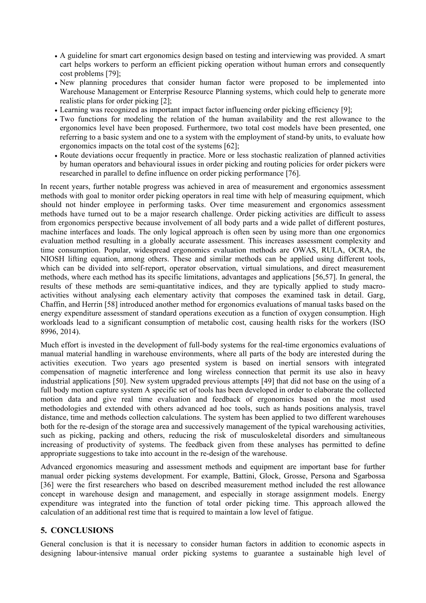- A guideline for smart cart ergonomics design based on testing and interviewing was provided. A smart cart helps workers to perform an efficient picking operation without human errors and consequently cost problems [79];
- New planning procedures that consider human factor were proposed to be implemented into Warehouse Management or Enterprise Resource Planning systems, which could help to generate more realistic plans for order picking [2];
- Learning was recognized as important impact factor influencing order picking efficiency [9];
- Two functions for modeling the relation of the human availability and the rest allowance to the ergonomics level have been proposed. Furthermore, two total cost models have been presented, one referring to a basic system and one to a system with the employment of stand-by units, to evaluate how ergonomics impacts on the total cost of the systems [62];
- Route deviations occur frequently in practice. More or less stochastic realization of planned activities by human operators and behavioural issues in order picking and routing policies for order pickers were researched in parallel to define influence on order picking performance [76].

In recent years, further notable progress was achieved in area of measurement and ergonomics assessment methods with goal to monitor order picking operators in real time with help of measuring equipment, which should not hinder employee in performing tasks. Over time measurement and ergonomics assessment methods have turned out to be a major research challenge. Order picking activities are difficult to assess from ergonomics perspective because involvement of all body parts and a wide pallet of different postures, machine interfaces and loads. The only logical approach is often seen by using more than one ergonomics evaluation method resulting in a globally accurate assessment. This increases assessment complexity and time consumption. Popular, widespread ergonomics evaluation methods are OWAS, RULA, OCRA, the NIOSH lifting equation, among others. These and similar methods can be applied using different tools, which can be divided into self-report, operator observation, virtual simulations, and direct measurement methods, where each method has its specific limitations, advantages and applications [56,57]. In general, the results of these methods are semi-quantitative indices, and they are typically applied to study macroactivities without analysing each elementary activity that composes the examined task in detail. Garg, Chaffin, and Herrin [58] introduced another method for ergonomics evaluations of manual tasks based on the energy expenditure assessment of standard operations execution as a function of oxygen consumption. High workloads lead to a significant consumption of metabolic cost, causing health risks for the workers (ISO 8996, 2014).

Much effort is invested in the development of full-body systems for the real-time ergonomics evaluations of manual material handling in warehouse environments, where all parts of the body are interested during the activities execution. Two years ago presented system is based on inertial sensors with integrated compensation of magnetic interference and long wireless connection that permit its use also in heavy industrial applications [50]. New system upgraded previous attempts [49] that did not base on the using of a full body motion capture system A specific set of tools has been developed in order to elaborate the collected motion data and give real time evaluation and feedback of ergonomics based on the most used methodologies and extended with others advanced ad hoc tools, such as hands positions analysis, travel distance, time and methods collection calculations. The system has been applied to two different warehouses both for the re-design of the storage area and successively management of the typical warehousing activities, such as picking, packing and others, reducing the risk of musculoskeletal disorders and simultaneous increasing of productivity of systems. The feedback given from these analyses has permitted to define appropriate suggestions to take into account in the re-design of the warehouse.

Advanced ergonomics measuring and assessment methods and equipment are important base for further manual order picking systems development. For example, Battini, Glock, Grosse, Persona and Sgarbossa [36] were the first researchers who based on described measurement method included the rest allowance concept in warehouse design and management, and especially in storage assignment models. Energy expenditure was integrated into the function of total order picking time. This approach allowed the calculation of an additional rest time that is required to maintain a low level of fatigue.

## **5. CONCLUSIONS**

General conclusion is that it is necessary to consider human factors in addition to economic aspects in designing labour-intensive manual order picking systems to guarantee a sustainable high level of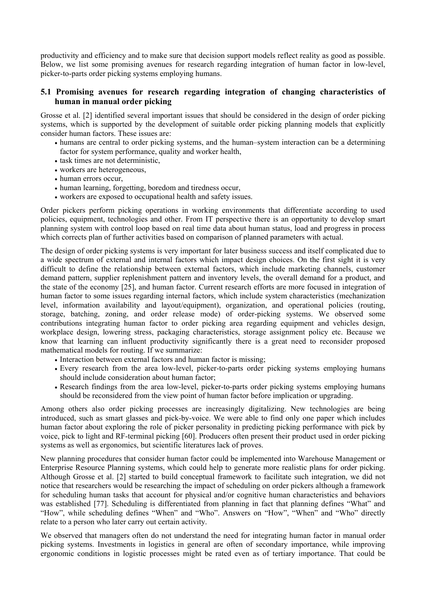productivity and efficiency and to make sure that decision support models reflect reality as good as possible. Below, we list some promising avenues for research regarding integration of human factor in low-level, picker-to-parts order picking systems employing humans.

## **5.1 Promising avenues for research regarding integration of changing characteristics of human in manual order picking**

Grosse et al. [2] identified several important issues that should be considered in the design of order picking systems, which is supported by the development of suitable order picking planning models that explicitly consider human factors. These issues are:

- humans are central to order picking systems, and the human–system interaction can be a determining factor for system performance, quality and worker health,
- task times are not deterministic,
- workers are heterogeneous,
- human errors occur,
- human learning, forgetting, boredom and tiredness occur,
- workers are exposed to occupational health and safety issues.

Order pickers perform picking operations in working environments that differentiate according to used policies, equipment, technologies and other. From IT perspective there is an opportunity to develop smart planning system with control loop based on real time data about human status, load and progress in process which corrects plan of further activities based on comparison of planned parameters with actual.

The design of order picking systems is very important for later business success and itself complicated due to a wide spectrum of external and internal factors which impact design choices. On the first sight it is very difficult to define the relationship between external factors, which include marketing channels, customer demand pattern, supplier replenishment pattern and inventory levels, the overall demand for a product, and the state of the economy [25], and human factor. Current research efforts are more focused in integration of human factor to some issues regarding internal factors, which include system characteristics (mechanization level, information availability and layout/equipment), organization, and operational policies (routing, storage, batching, zoning, and order release mode) of order-picking systems. We observed some contributions integrating human factor to order picking area regarding equipment and vehicles design, workplace design, lowering stress, packaging characteristics, storage assignment policy etc. Because we know that learning can influent productivity significantly there is a great need to reconsider proposed mathematical models for routing. If we summarize:

- Interaction between external factors and human factor is missing;
- Every research from the area low-level, picker-to-parts order picking systems employing humans should include consideration about human factor;
- Research findings from the area low-level, picker-to-parts order picking systems employing humans should be reconsidered from the view point of human factor before implication or upgrading.

Among others also order picking processes are increasingly digitalizing. New technologies are being introduced, such as smart glasses and pick-by-voice. We were able to find only one paper which includes human factor about exploring the role of picker personality in predicting picking performance with pick by voice, pick to light and RF-terminal picking [60]. Producers often present their product used in order picking systems as well as ergonomics, but scientific literatures lack of proves.

New planning procedures that consider human factor could be implemented into Warehouse Management or Enterprise Resource Planning systems, which could help to generate more realistic plans for order picking. Although Grosse et al. [2] started to build conceptual framework to facilitate such integration, we did not notice that researchers would be researching the impact of scheduling on order pickers although a framework for scheduling human tasks that account for physical and/or cognitive human characteristics and behaviors was established [77]. Scheduling is differentiated from planning in fact that planning defines "What" and "How", while scheduling defines "When" and "Who". Answers on "How", "When" and "Who" directly relate to a person who later carry out certain activity.

We observed that managers often do not understand the need for integrating human factor in manual order picking systems. Investments in logistics in general are often of secondary importance, while improving ergonomic conditions in logistic processes might be rated even as of tertiary importance. That could be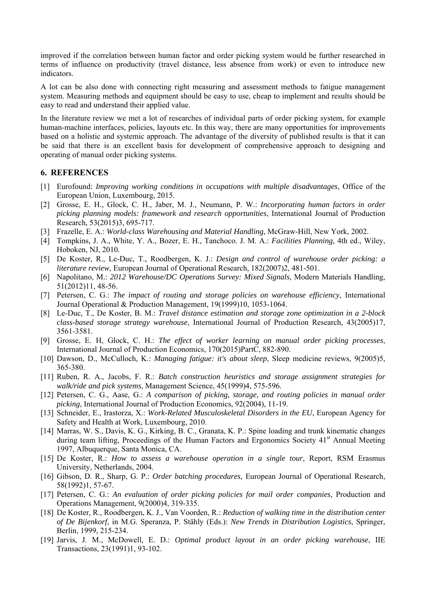improved if the correlation between human factor and order picking system would be further researched in terms of influence on productivity (travel distance, less absence from work) or even to introduce new indicators.

A lot can be also done with connecting right measuring and assessment methods to fatigue management system. Measuring methods and equipment should be easy to use, cheap to implement and results should be easy to read and understand their applied value.

In the literature review we met a lot of researches of individual parts of order picking system, for example human-machine interfaces, policies, layouts etc. In this way, there are many opportunities for improvements based on a holistic and systemic approach. The advantage of the diversity of published results is that it can be said that there is an excellent basis for development of comprehensive approach to designing and operating of manual order picking systems.

#### **6. REFERENCES**

- [1] Eurofound: *Improving working conditions in occupations with multiple disadvantages*, Office of the European Union, Luxembourg, 2015.
- [2] Grosse, E. H., Glock, C. H., Jaber, M. J., Neumann, P. W.: *Incorporating human factors in order picking planning models: framework and research opportunities*, International Journal of Production Research, 53(2015)3, 695-717.
- [3] Frazelle, E. A.: *World-class Warehousing and Material Handling*, McGraw-Hill, New York, 2002.
- [4] Tompkins, J. A., White, Y. A., Bozer, E. H., Tanchoco. J. M. A.: *Facilities Planning,* 4th ed., Wiley, Hoboken, NJ, 2010*.*
- [5] De Koster, R., Le-Duc, T., Roodbergen, K. J.: *Design and control of warehouse order picking: a literature review*, European Journal of Operational Research, 182(2007)2, 481-501.
- [6] Napolitano, M.: *2012 Warehouse/DC Operations Survey: Mixed Signals*, Modern Materials Handling, 51(2012)11, 48-56.
- [7] Petersen, C. G.: *The impact of routing and storage policies on warehouse efficiency*, International Journal Operational & Production Management, 19(1999)10, 1053-1064.
- [8] Le-Duc, T., De Koster, B. M.: *Travel distance estimation and storage zone optimization in a 2-block class-based storage strategy warehouse*, International Journal of Production Research, 43(2005)17, 3561-3581.
- [9] Grosse, E. H, Glock, C. H.: *The effect of worker learning on manual order picking processes*, International Journal of Production Economics, 170(2015)PartC, 882-890.
- [10] Dawson, D., McCulloch, K.: *Managing fatigue: it's about sleep*, Sleep medicine reviews, 9(2005)5, 365-380.
- [11] Ruben, R. A., Jacobs, F. R.: *Batch construction heuristics and storage assignment strategies for walk/ride and pick systems*, Management Science, 45(1999)4, 575-596.
- [12] Petersen, C. G., Aase, G.: *A comparison of picking, storage, and routing policies in manual order picking*, International Journal of Production Economics, 92(2004), 11-19.
- [13] Schneider, E., Irastorza, X.: *Work-Related Musculoskeletal Disorders in the EU*, European Agency for Safety and Health at Work, Luxembourg, 2010.
- [14] Marras, W. S., Davis, K. G., Kirking, B. C., Granata, K. P.: Spine loading and trunk kinematic changes during team lifting, Proceedings of the Human Factors and Ergonomics Society 41<sup>st</sup> Annual Meeting 1997, Albuquerque, Santa Monica, CA.
- [15] De Koster, R.: *How to assess a warehouse operation in a single tour*, Report, RSM Erasmus University, Netherlands, 2004.
- [16] Gibson, D. R., Sharp, G. P.: *Order batching procedures*, European Journal of Operational Research, 58(1992)1, 57-67.
- [17] Petersen, C. G.: *An evaluation of order picking policies for mail order companies*, Production and Operations Management, 9(2000)4, 319-335.
- [18] De Koster, R., Roodbergen, K. J., Van Voorden, R.: *Reduction of walking time in the distribution center of De Bijenkorf*, in M.G. Speranza, P. Stähly (Eds.): *New Trends in Distribution Logistics*, Springer, Berlin, 1999, 215-234.
- [19] Jarvis, J. M., McDowell, E. D.: *Optimal product layout in an order picking warehouse*, IIE Transactions, 23(1991)1, 93-102.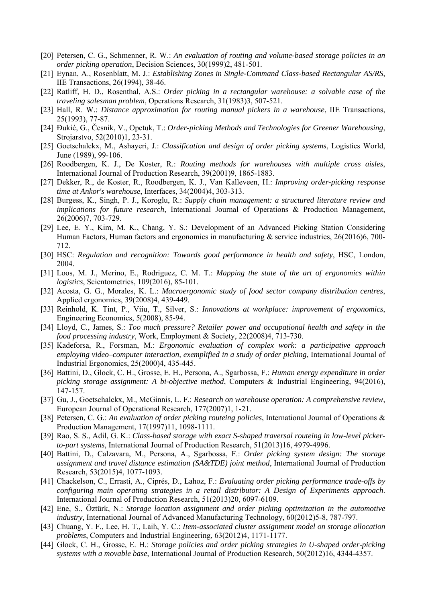- [20] Petersen, C. G., Schmenner, R. W.: *An evaluation of routing and volume-based storage policies in an order picking operation*, Decision Sciences, 30(1999)2, 481-501.
- [21] Eynan, A., Rosenblatt, M. J.: *Establishing Zones in Single-Command Class-based Rectangular AS/RS*, IIE Transactions, 26(1994), 38-46.
- [22] Ratliff, H. D., Rosenthal, A.S.: *Order picking in a rectangular warehouse: a solvable case of the traveling salesman problem*, Operations Research, 31(1983)3, 507-521.
- [23] Hall, R. W.: *Distance approximation for routing manual pickers in a warehouse*, IIE Transactions, 25(1993), 77-87.
- [24] Đukić, G., Česnik, V., Opetuk, T.: *Order-picking Methods and Technologies for Greener Warehousing*, Strojarstvo, 52(2010)1, 23-31.
- [25] Goetschalckx, M., Ashayeri, J.: *Classification and design of order picking systems*, Logistics World, June (1989), 99-106.
- [26] Roodbergen, K. J., De Koster, R.: *Routing methods for warehouses with multiple cross aisles*, International Journal of Production Research, 39(2001)9, 1865-1883.
- [27] Dekker, R., de Koster, R., Roodbergen, K. J., Van Kalleveen, H.: *Improving order-picking response time at Ankor's warehouse*, Interfaces, 34(2004)4, 303-313.
- [28] Burgess, K., Singh, P. J., Koroglu, R.: *Supply chain management: a structured literature review and implications for future research*, International Journal of Operations & Production Management, 26(2006)7, 703-729.
- [29] Lee, E. Y., Kim, M. K., Chang, Y. S.: Development of an Advanced Picking Station Considering Human Factors, Human factors and ergonomics in manufacturing & service industries, 26(2016)6, 700- 712.
- [30] HSC: *Regulation and recognition: Towards good performance in health and safety*, HSC, London, 2004.
- [31] Loos, M. J., Merino, E., Rodriguez, C. M. T.: *Mapping the state of the art of ergonomics within logistics*, Scientometrics, 109(2016), 85-101.
- [32] Acosta, G. G., Morales, K. L.: *Macroergonomic study of food sector company distribution centres*, Applied ergonomics, 39(2008)4, 439-449.
- [33] Reinhold, K. Tint, P., Viiu, T., Silver, S.: *Innovations at workplace: improvement of ergonomics*, Engineering Economics, 5(2008), 85-94.
- [34] Lloyd, C., James, S.: *Too much pressure? Retailer power and occupational health and safety in the food processing industry*, Work, Employment & Society, 22(2008)4, 713-730.
- [35] Kadeforsa, R., Forsman, M.: *Ergonomic evaluation of complex work: a participative approach employing video–computer interaction, exemplified in a study of order picking*, International Journal of Industrial Ergonomics, 25(2000)4, 435-445.
- [36] Battini, D., Glock, C. H., Grosse, E. H., Persona, A., Sgarbossa, F.: *Human energy expenditure in order picking storage assignment: A bi-objective method*, Computers & Industrial Engineering, 94(2016), 147-157.
- [37] Gu, J., Goetschalckx, M., McGinnis, L. F.: *Research on warehouse operation: A comprehensive review*, European Journal of Operational Research, 177(2007)1, 1-21.
- [38] Petersen, C. G.: *An evaluation of order picking routeing policies*, International Journal of Operations & Production Management, 17(1997)11, 1098-1111.
- [39] Rao, S. S., Adil, G. K.: *Class-based storage with exact S-shaped traversal routeing in low-level pickerto-part systems*, International Journal of Production Research, 51(2013)16, 4979-4996.
- [40] Battini, D., Calzavara, M., Persona, A., Sgarbossa, F.: *Order picking system design: The storage assignment and travel distance estimation (SA&TDE) joint method*, International Journal of Production Research, 53(2015)4, 1077-1093.
- [41] Chackelson, C., Errasti, A., Ciprés, D., Lahoz, F.: *Evaluating order picking performance trade-offs by configuring main operating strategies in a retail distributor: A Design of Experiments approach*. International Journal of Production Research, 51(2013)20, 6097-6109.
- [42] Ene, S., Öztürk, N.: *Storage location assignment and order picking optimization in the automotive industry,* International Journal of Advanced Manufacturing Technology, 60(2012)5-8, 787-797.
- [43] Chuang, Y. F., Lee, H. T., Laih, Y. C.: *Item-associated cluster assignment model on storage allocation problems*, Computers and Industrial Engineering, 63(2012)4, 1171-1177.
- [44] Glock, C. H., Grosse, E. H.: *Storage policies and order picking strategies in U-shaped order-picking systems with a movable base*, International Journal of Production Research, 50(2012)16, 4344-4357.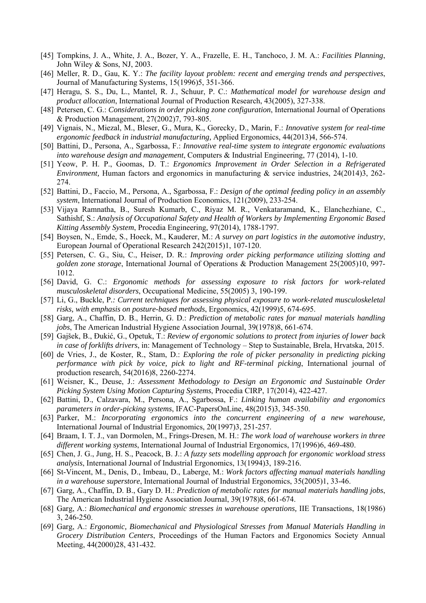- [45] Tompkins, J. A., White, J. A., Bozer, Y. A., Frazelle, E. H., Tanchoco, J. M. A.: *Facilities Planning*, John Wiley & Sons, NJ, 2003.
- [46] Meller, R. D., Gau, K. Y.: *The facility layout problem: recent and emerging trends and perspectives*, Journal of Manufacturing Systems, 15(1996)5, 351-366.
- [47] Heragu, S. S., Du, L., Mantel, R. J., Schuur, P. C.: *Mathematical model for warehouse design and product allocation*, International Journal of Production Research, 43(2005), 327-338.
- [48] Petersen, C. G.: *Considerations in order picking zone configuration*, International Journal of Operations & Production Management, 27(2002)7, 793-805.
- [49] Vignais, N., Miezal, M., Bleser, G., Mura, K., Gorecky, D., Marin, F.: *Innovative system for real-time ergonomic feedback in industrial manufacturing,* Applied Ergonomics, 44(2013)4, 566-574.
- [50] Battini, D., Persona, A., Sgarbossa, F.: *Innovative real-time system to integrate ergonomic evaluations into warehouse design and management*, Computers & Industrial Engineering, 77 (2014), 1-10.
- [51] Yeow, P. H. P., Goomas, D. T.: *Ergonomics Improvement in Order Selection in a Refrigerated Environment,* Human factors and ergonomics in manufacturing & service industries, 24(2014)3, 262-274.
- [52] Battini, D., Faccio, M., Persona, A., Sgarbossa, F.: *Design of the optimal feeding policy in an assembly system*, International Journal of Production Economics, 121(2009), 233-254.
- [53] Vijaya Ramnatha, B., Suresh Kumarb, C., Riyaz M. R., Venkataramand, K., Elanchezhiane, C., Sathishf, S.: *Analysis of Occupational Safety and Health of Workers by Implementing Ergonomic Based Kitting Assembly System*, Procedia Engineering, 97(2014), 1788-1797.
- [54] Boysen, N., Emde, S., Hoeck, M., Kauderer, M.: *A survey on part logistics in the automotive industry*, European Journal of Operational Research 242(2015)1, 107-120.
- [55] Petersen, C. G., Siu, C., Heiser, D. R.: *Improving order picking performance utilizing slotting and golden zone storage*, International Journal of Operations & Production Management 25(2005)10, 997- 1012.
- [56] David, G. C.: *Ergonomic methods for assessing exposure to risk factors for work-related musculoskeletal disorders*, Occupational Medicine, 55(2005) 3, 190-199.
- [57] Li, G., Buckle, P*.: Current techniques for assessing physical exposure to work-related musculoskeletal risks, with emphasis on posture-based methods*, Ergonomics, 42(1999)5, 674-695.
- [58] Garg, A., Chaffin, D. B., Herrin, G. D.: *Prediction of metabolic rates for manual materials handling jobs*, The American Industrial Hygiene Association Journal, 39(1978)8, 661-674.
- [59] Gajšek, B., Đukić, G., Opetuk, T.: *Review of ergonomic solutions to protect from injuries of lower back in case of forklifts drivers*, in: Management of Technology – Step to Sustainable, Brela, Hrvatska, 2015.
- [60] de Vries, J., de Koster, R., Stam, D.: *Exploring the role of picker personality in predicting picking performance with pick by voice, pick to light and RF-terminal picking*, International journal of production research, 54(2016)8, 2260-2274.
- [61] Weisner, K., Deuse, J.: *Assessment Methodology to Design an Ergonomic and Sustainable Order Picking System Using Motion Capturing Systems*, Procedia CIRP, 17(2014), 422-427.
- [62] Battini, D., Calzavara, M., Persona, A., Sgarbossa, F.: *Linking human availability and ergonomics parameters in order-picking systems*, IFAC-PapersOnLine, 48(2015)3, 345-350.
- [63] Parker, M.: *Incorporating ergonomics into the concurrent engineering of a new warehouse,* International Journal of Industrial Ergonomics, 20(1997)3, 251-257.
- [64] Braam, I. T. J., van Dormolen, M., Frings-Dresen, M. H.: *The work load of warehouse workers in three different working systems*, International Journal of Industrial Ergonomics, 17(1996)6, 469-480.
- [65] Chen, J. G., Jung, H. S., Peacock, B. J.: *A fuzzy sets modelling approach for ergonomic workload stress analysis*, International Journal of Industrial Ergonomics, 13(1994)3, 189-216.
- [66] St-Vincent, M., Denis, D., Imbeau, D., Laberge, M.: *Work factors affecting manual materials handling in a warehouse superstore*, International Journal of Industrial Ergonomics, 35(2005)1, 33-46.
- [67] Garg, A., Chaffin, D. B., Gary D. H.: *Prediction of metabolic rates for manual materials handling jobs*, The American Industrial Hygiene Association Journal, 39(1978)8, 661-674.
- [68] Garg, A.: *Biomechanical and ergonomic stresses in warehouse operations,* IIE Transactions, 18(1986) 3, 246-250.
- [69] Garg, A.: *Ergonomic, Biomechanical and Physiological Stresses from Manual Materials Handling in Grocery Distribution Centers*, Proceedings of the Human Factors and Ergonomics Society Annual Meeting, 44(2000)28, 431-432.